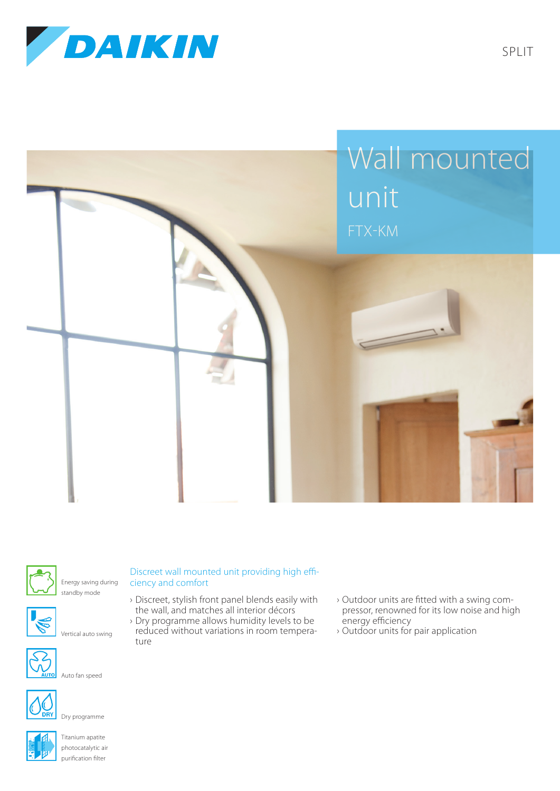





Energy saving during standby mode



Vertical auto swing



Auto fan speed



Dry programme



Titanium apatite photocatalytic air purification filter

## Discreet wall mounted unit providing high efficiency and comfort

- › Discreet, stylish front panel blends easily with the wall, and matches all interior décors
- › Dry programme allows humidity levels to be reduced without variations in room temperature
- › Outdoor units are fitted with a swing compressor, renowned for its low noise and high energy efficiency
- › Outdoor units for pair application